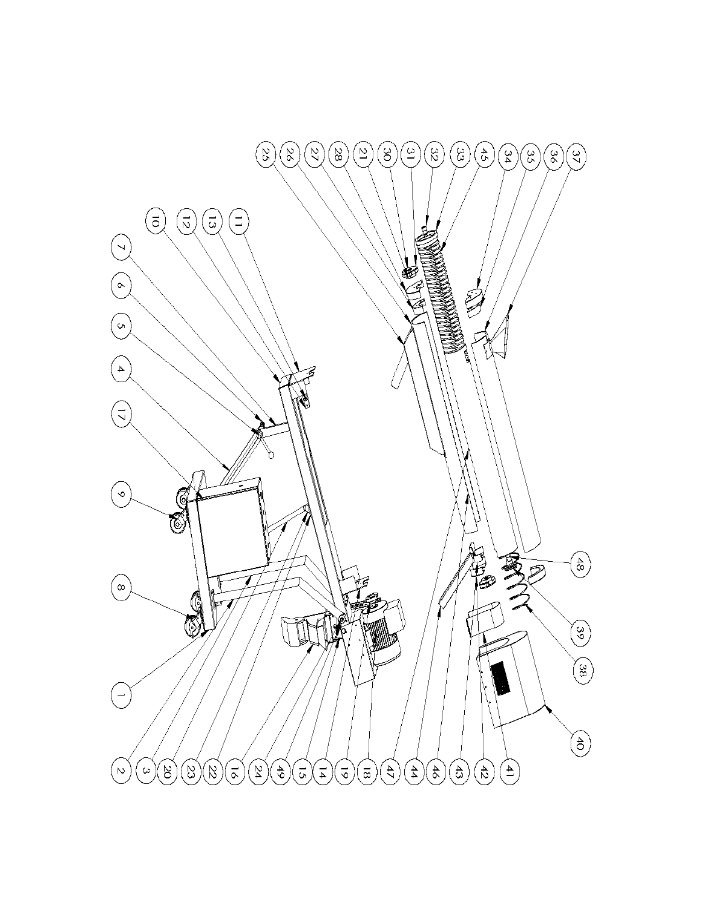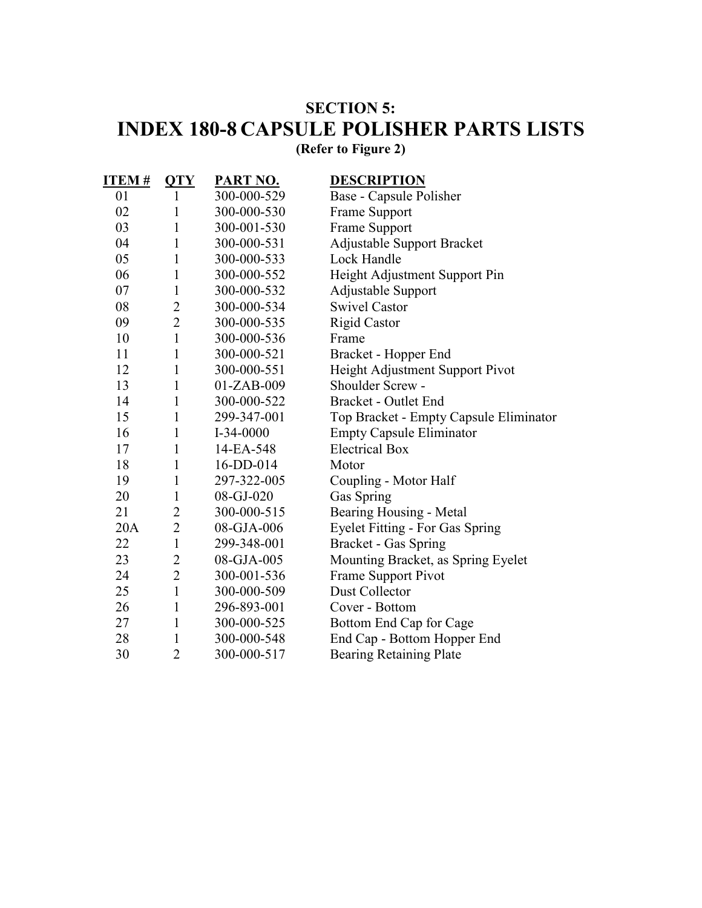## **SECTION 5: INDEX 180-8 CAPSULE POLISHER PARTS LISTS (Refer to Figure 2)**

| <b>ITEM#</b> | <b>QTY</b>     | PART NO.    | <b>DESCRIPTION</b>                     |
|--------------|----------------|-------------|----------------------------------------|
| 01           | 1              | 300-000-529 | Base - Capsule Polisher                |
| 02           | 1              | 300-000-530 | Frame Support                          |
| 03           | 1              | 300-001-530 | Frame Support                          |
| 04           | $\mathbf{1}$   | 300-000-531 | <b>Adjustable Support Bracket</b>      |
| 05           | 1              | 300-000-533 | Lock Handle                            |
| 06           | $\mathbf{1}$   | 300-000-552 | Height Adjustment Support Pin          |
| 07           | $\mathbf{1}$   | 300-000-532 | <b>Adjustable Support</b>              |
| 08           | $\overline{2}$ | 300-000-534 | <b>Swivel Castor</b>                   |
| 09           | $\overline{2}$ | 300-000-535 | <b>Rigid Castor</b>                    |
| 10           | $\mathbf{1}$   | 300-000-536 | Frame                                  |
| 11           | $\mathbf{1}$   | 300-000-521 | Bracket - Hopper End                   |
| 12           | 1              | 300-000-551 | Height Adjustment Support Pivot        |
| 13           | $\mathbf{1}$   | 01-ZAB-009  | Shoulder Screw -                       |
| 14           | $\mathbf{1}$   | 300-000-522 | Bracket - Outlet End                   |
| 15           | $\mathbf{1}$   | 299-347-001 | Top Bracket - Empty Capsule Eliminator |
| 16           | 1              | $I-34-0000$ | <b>Empty Capsule Eliminator</b>        |
| 17           | $\mathbf{1}$   | 14-EA-548   | <b>Electrical Box</b>                  |
| 18           | $\mathbf{1}$   | 16-DD-014   | Motor                                  |
| 19           | $\mathbf{1}$   | 297-322-005 | Coupling - Motor Half                  |
| 20           | $\mathbf{1}$   | 08-GJ-020   | Gas Spring                             |
| 21           | $\overline{2}$ | 300-000-515 | Bearing Housing - Metal                |
| 20A          | $\overline{2}$ | 08-GJA-006  | Eyelet Fitting - For Gas Spring        |
| 22           | $\mathbf{1}$   | 299-348-001 | <b>Bracket - Gas Spring</b>            |
| 23           | $\overline{2}$ | 08-GJA-005  | Mounting Bracket, as Spring Eyelet     |
| 24           | $\overline{2}$ | 300-001-536 | <b>Frame Support Pivot</b>             |
| 25           | $\mathbf{1}$   | 300-000-509 | Dust Collector                         |
| 26           | $\mathbf{1}$   | 296-893-001 | Cover - Bottom                         |
| 27           | $\mathbf{1}$   | 300-000-525 | Bottom End Cap for Cage                |
| 28           | $\mathbf{1}$   | 300-000-548 | End Cap - Bottom Hopper End            |
| 30           | $\overline{2}$ | 300-000-517 | <b>Bearing Retaining Plate</b>         |